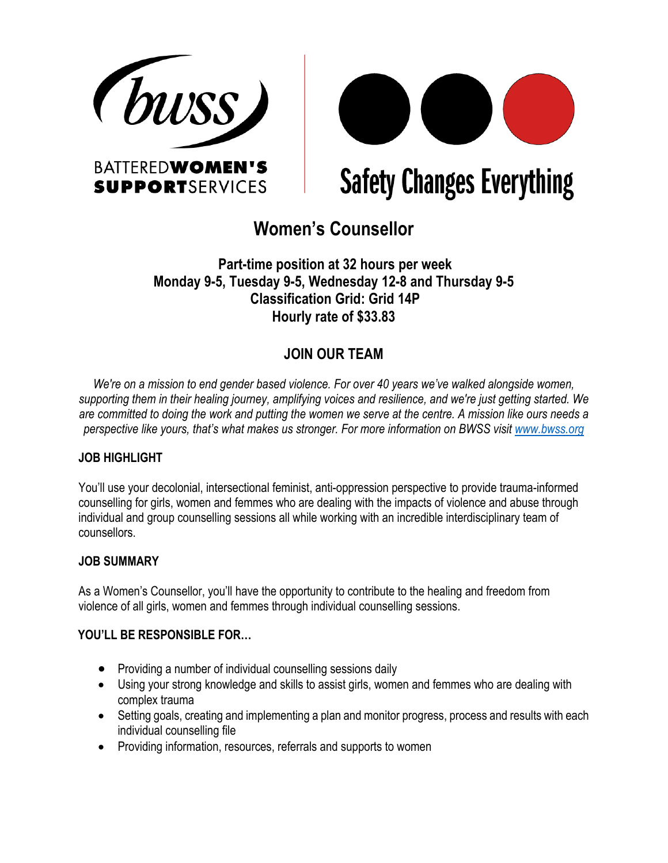



**Safety Changes Everything** 

# **Women's Counsellor**

# **Part-time position at 32 hours per week Monday 9-5, Tuesday 9-5, Wednesday 12-8 and Thursday 9-5 Classification Grid: Grid 14P Hourly rate of \$33.83**

# **JOIN OUR TEAM**

*We're on a mission to end gender based violence. For over 40 years we've walked alongside women, supporting them in their healing journey, amplifying voices and resilience, and we're just getting started. We are committed to doing the work and putting the women we serve at the centre. A mission like ours needs a perspective like yours, that's what makes us stronger. For more information on BWSS visit www.bwss.org*

# **JOB HIGHLIGHT**

You'll use your decolonial, intersectional feminist, anti-oppression perspective to provide trauma-informed counselling for girls, women and femmes who are dealing with the impacts of violence and abuse through individual and group counselling sessions all while working with an incredible interdisciplinary team of counsellors.

#### **JOB SUMMARY**

As a Women's Counsellor, you'll have the opportunity to contribute to the healing and freedom from violence of all girls, women and femmes through individual counselling sessions.

#### **YOU'LL BE RESPONSIBLE FOR…**

- Providing a number of individual counselling sessions daily
- Using your strong knowledge and skills to assist girls, women and femmes who are dealing with complex trauma
- Setting goals, creating and implementing a plan and monitor progress, process and results with each individual counselling file
- Providing information, resources, referrals and supports to women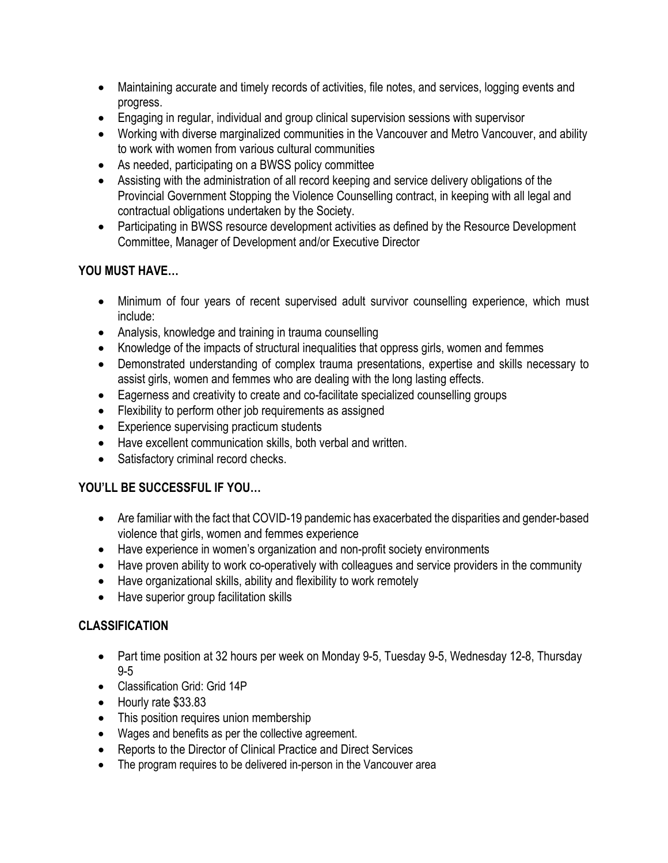- Maintaining accurate and timely records of activities, file notes, and services, logging events and progress.
- Engaging in regular, individual and group clinical supervision sessions with supervisor
- Working with diverse marginalized communities in the Vancouver and Metro Vancouver, and ability to work with women from various cultural communities
- As needed, participating on a BWSS policy committee
- Assisting with the administration of all record keeping and service delivery obligations of the Provincial Government Stopping the Violence Counselling contract, in keeping with all legal and contractual obligations undertaken by the Society.
- Participating in BWSS resource development activities as defined by the Resource Development Committee, Manager of Development and/or Executive Director

### **YOU MUST HAVE…**

- Minimum of four years of recent supervised adult survivor counselling experience, which must include:
- Analysis, knowledge and training in trauma counselling
- Knowledge of the impacts of structural inequalities that oppress girls, women and femmes
- Demonstrated understanding of complex trauma presentations, expertise and skills necessary to assist girls, women and femmes who are dealing with the long lasting effects.
- Eagerness and creativity to create and co-facilitate specialized counselling groups
- Flexibility to perform other job requirements as assigned
- Experience supervising practicum students
- Have excellent communication skills, both verbal and written.
- Satisfactory criminal record checks.

# **YOU'LL BE SUCCESSFUL IF YOU…**

- Are familiar with the fact that COVID-19 pandemic has exacerbated the disparities and gender-based violence that girls, women and femmes experience
- Have experience in women's organization and non-profit society environments
- Have proven ability to work co-operatively with colleagues and service providers in the community
- Have organizational skills, ability and flexibility to work remotely
- Have superior group facilitation skills

# **CLASSIFICATION**

- Part time position at 32 hours per week on Monday 9-5, Tuesday 9-5, Wednesday 12-8, Thursday 9-5
- Classification Grid: Grid 14P
- Hourly rate \$33.83
- This position requires union membership
- Wages and benefits as per the collective agreement.
- Reports to the Director of Clinical Practice and Direct Services
- The program requires to be delivered in-person in the Vancouver area